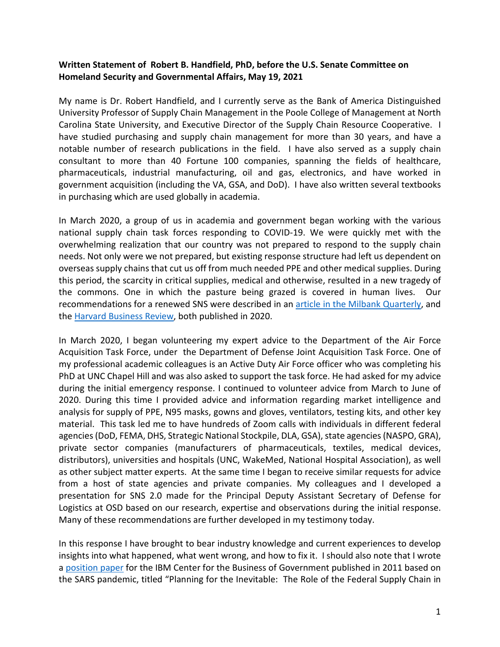### **Written Statement of Robert B. Handfield, PhD, before the U.S. Senate Committee on Homeland Security and Governmental Affairs, May 19, 2021**

My name is Dr. Robert Handfield, and I currently serve as the Bank of America Distinguished University Professor of Supply Chain Management in the Poole College of Management at North Carolina State University, and Executive Director of the Supply Chain Resource Cooperative. I have studied purchasing and supply chain management for more than 30 years, and have a notable number of research publications in the field. I have also served as a supply chain consultant to more than 40 Fortune 100 companies, spanning the fields of healthcare, pharmaceuticals, industrial manufacturing, oil and gas, electronics, and have worked in government acquisition (including the VA, GSA, and DoD). I have also written several textbooks in purchasing which are used globally in academia.

In March 2020, a group of us in academia and government began working with the various national supply chain task forces responding to COVID-19. We were quickly met with the overwhelming realization that our country was not prepared to respond to the supply chain needs. Not only were we not prepared, but existing response structure had left us dependent on overseas supply chains that cut us off from much needed PPE and other medical supplies. During this period, the scarcity in critical supplies, medical and otherwise, resulted in a new tragedy of the commons. One in which the pasture being grazed is covered in human lives. Our recommendations for a renewed SNS were described in an [article in the Milbank Quarterly,](https://www.milbank.org/quarterly/articles/a-commons-for-a-supply-chain-in-the-post%E2%80%90covid%E2%80%9019-era-the-case-for-a-reformed-strategic-national-stockpile/) and the Harvard Business Review, both published in 2020.

In March 2020, I began volunteering my expert advice to the Department of the Air Force Acquisition Task Force, under the Department of Defense Joint Acquisition Task Force. One of my professional academic colleagues is an Active Duty Air Force officer who was completing his PhD at UNC Chapel Hill and was also asked to support the task force. He had asked for my advice during the initial emergency response. I continued to volunteer advice from March to June of 2020. During this time I provided advice and information regarding market intelligence and analysis for supply of PPE, N95 masks, gowns and gloves, ventilators, testing kits, and other key material. This task led me to have hundreds of Zoom calls with individuals in different federal agencies (DoD, FEMA, DHS, Strategic National Stockpile, DLA, GSA), state agencies (NASPO, GRA), private sector companies (manufacturers of pharmaceuticals, textiles, medical devices, distributors), universities and hospitals (UNC, WakeMed, National Hospital Association), as well as other subject matter experts. At the same time I began to receive similar requests for advice from a host of state agencies and private companies. My colleagues and I developed a presentation for SNS 2.0 made for the Principal Deputy Assistant Secretary of Defense for Logistics at OSD based on our research, expertise and observations during the initial response. Many of these recommendations are further developed in my testimony today.

In this response I have brought to bear industry knowledge and current experiences to develop insights into what happened, what went wrong, and how to fix it. I should also note that I wrote a [position paper](http://www.businessofgovernment.org/sites/default/files/The%20Role%20of%20the%20Federal%20Supply%20Chain%20in%20Preparing%20for%20National%20Emergencies.pdf) for the IBM Center for the Business of Government published in 2011 based on the SARS pandemic, titled "Planning for the Inevitable: The Role of the Federal Supply Chain in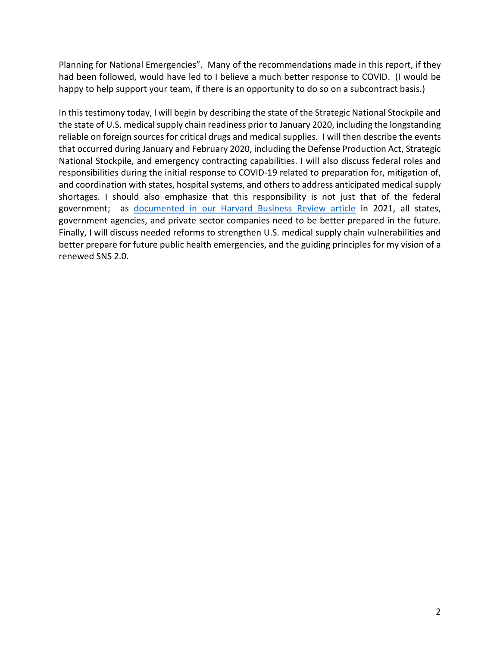Planning for National Emergencies". Many of the recommendations made in this report, if they had been followed, would have led to I believe a much better response to COVID. (I would be happy to help support your team, if there is an opportunity to do so on a subcontract basis.)

In this testimony today, I will begin by describing the state of the Strategic National Stockpile and the state of U.S. medical supply chain readiness prior to January 2020, including the longstanding reliable on foreign sources for critical drugs and medical supplies. I will then describe the events that occurred during January and February 2020, including the Defense Production Act, Strategic National Stockpile, and emergency contracting capabilities. I will also discuss federal roles and responsibilities during the initial response to COVID-19 related to preparation for, mitigation of, and coordination with states, hospital systems, and others to address anticipated medical supply shortages. I should also emphasize that this responsibility is not just that of the federal government; as documented in our Harvard Business Review article in 2021, all states, government agencies, and private sector companies need to be better prepared in the future. Finally, I will discuss needed reforms to strengthen U.S. medical supply chain vulnerabilities and better prepare for future public health emergencies, and the guiding principles for my vision of a renewed SNS 2.0.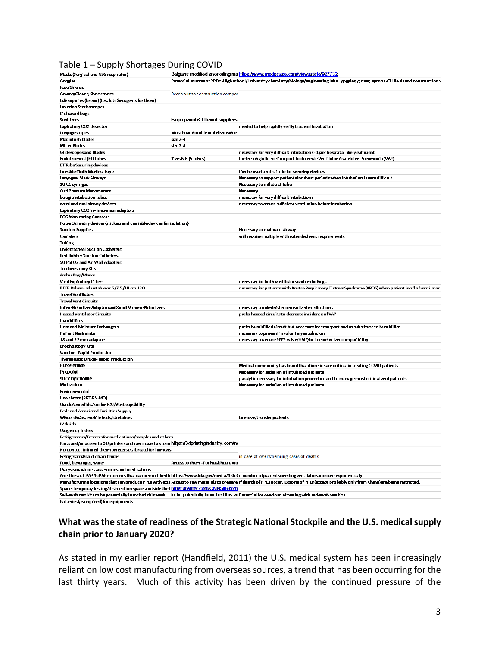#### Table 1 – Supply Shortages During COVID

| Masks (Surgical and N95 respirator)                                                        |                                                                                                                                                                                                                          |                                                                                                                                                                                            |
|--------------------------------------------------------------------------------------------|--------------------------------------------------------------------------------------------------------------------------------------------------------------------------------------------------------------------------|--------------------------------------------------------------------------------------------------------------------------------------------------------------------------------------------|
|                                                                                            | Belgians modified snorkeling ma https://www.medscape.com/viewarticle/927732<br>Potential sources of PPEs-High school/University chemistry/biology/engineering labs-goggles, gloves, aprons-Oil fields and construction v |                                                                                                                                                                                            |
| Goggles                                                                                    |                                                                                                                                                                                                                          |                                                                                                                                                                                            |
| <b>Face Shields</b>                                                                        |                                                                                                                                                                                                                          |                                                                                                                                                                                            |
| Gowns/Gloves, Shoe covers                                                                  | Reach out to construction compan                                                                                                                                                                                         |                                                                                                                                                                                            |
| Lab supplies (broad) (test kits & reagents for them)                                       |                                                                                                                                                                                                                          |                                                                                                                                                                                            |
| Isolation Stethoscopes                                                                     |                                                                                                                                                                                                                          |                                                                                                                                                                                            |
| Biohazard bags                                                                             |                                                                                                                                                                                                                          |                                                                                                                                                                                            |
| Sanitizers                                                                                 | Isopropanol & Ethanol suppliers.                                                                                                                                                                                         |                                                                                                                                                                                            |
| <b>Expiratory CO2 Detector</b>                                                             |                                                                                                                                                                                                                          | needed to help rapidly verify tracheal intubation                                                                                                                                          |
| <b>Laryngoscopes</b>                                                                       | Must have durable and disposable                                                                                                                                                                                         |                                                                                                                                                                                            |
| Macintosh Blades                                                                           | $size2-4$                                                                                                                                                                                                                |                                                                                                                                                                                            |
| Miller Blades                                                                              | $size2-4$                                                                                                                                                                                                                |                                                                                                                                                                                            |
|                                                                                            |                                                                                                                                                                                                                          |                                                                                                                                                                                            |
| <b>Glidescopesand Blades</b>                                                               |                                                                                                                                                                                                                          | necessary for very difficult intubations- 1 per hosptital likely sufficient                                                                                                                |
| Endotracheal (ET) Tubes                                                                    | Sizes 6-8 (5 tubes)                                                                                                                                                                                                      | Prefer subglotic suction port to decreate Ventilator Associated Pneumonia (VAP)                                                                                                            |
| ETTube Securing devices                                                                    |                                                                                                                                                                                                                          |                                                                                                                                                                                            |
| Durable Cloth Medical Tape                                                                 |                                                                                                                                                                                                                          | Can be used a substitute for securing devices                                                                                                                                              |
| Laryngeal Mask Airways                                                                     |                                                                                                                                                                                                                          | Necessary to support patients for short periods when intubation is very difficult                                                                                                          |
| 10 CC syringes                                                                             |                                                                                                                                                                                                                          | Necessary to inflate ET tube                                                                                                                                                               |
| <b>Cuff Pressure Manometers</b>                                                            |                                                                                                                                                                                                                          | Necessary                                                                                                                                                                                  |
| bougie intubation tubes                                                                    |                                                                                                                                                                                                                          | necessary for very difficult intubations                                                                                                                                                   |
| nasal and oral airway devices                                                              |                                                                                                                                                                                                                          | necessary to assure sufficient ventilation before intubation                                                                                                                               |
|                                                                                            |                                                                                                                                                                                                                          |                                                                                                                                                                                            |
| Expiratory CO2 in line sensor adaptors                                                     |                                                                                                                                                                                                                          |                                                                                                                                                                                            |
| <b>ECG Monitoring Contacts</b>                                                             |                                                                                                                                                                                                                          |                                                                                                                                                                                            |
| Pulse Oximetry devices (stickers and carriable devices for isolation)                      |                                                                                                                                                                                                                          |                                                                                                                                                                                            |
| <b>Suction Supplies</b>                                                                    |                                                                                                                                                                                                                          | Necesary to maintain airways                                                                                                                                                               |
| Canisters                                                                                  |                                                                                                                                                                                                                          | will require multiple with extended vent requirements                                                                                                                                      |
| Tubing                                                                                     |                                                                                                                                                                                                                          |                                                                                                                                                                                            |
| Endotracheal Suction Catheters                                                             |                                                                                                                                                                                                                          |                                                                                                                                                                                            |
| <b>Red Rubber Suction Catheters</b>                                                        |                                                                                                                                                                                                                          |                                                                                                                                                                                            |
|                                                                                            |                                                                                                                                                                                                                          |                                                                                                                                                                                            |
| 50 PSI O2 and Air Wall Adapters                                                            |                                                                                                                                                                                                                          |                                                                                                                                                                                            |
| T <b>racheostomy K</b> its                                                                 |                                                                                                                                                                                                                          |                                                                                                                                                                                            |
| Ambu Bags/Masks                                                                            |                                                                                                                                                                                                                          |                                                                                                                                                                                            |
| <b>Viral Expiratory Filters</b>                                                            |                                                                                                                                                                                                                          | necessary for both ventilators and ambu bags                                                                                                                                               |
| PEEP Valves-adjustable or 5/7.5/10 cmH2O                                                   |                                                                                                                                                                                                                          | necessary for patients with Acutre Respiratory Distress Syndrome (ARDS) when patient is off of ventilator                                                                                  |
| <b>Travel Ventilators</b>                                                                  |                                                                                                                                                                                                                          |                                                                                                                                                                                            |
| <b>Travel Vent Circuits</b>                                                                |                                                                                                                                                                                                                          |                                                                                                                                                                                            |
| Inline Nebulizer Adaptor and Small Volume Nebulizers                                       |                                                                                                                                                                                                                          | necessary to administer aerosolized medications                                                                                                                                            |
| <b>Heated Ventilator Circuits</b>                                                          |                                                                                                                                                                                                                          | prefer heated circuits to decreate incidence of VAP                                                                                                                                        |
|                                                                                            |                                                                                                                                                                                                                          |                                                                                                                                                                                            |
| Humidifiers                                                                                |                                                                                                                                                                                                                          |                                                                                                                                                                                            |
| <b>Heat and Moisture Exchangers</b>                                                        |                                                                                                                                                                                                                          | prefer humidified circuit but necessary for transport and as substitute to humidifier                                                                                                      |
| <b>Patient Restraints</b>                                                                  |                                                                                                                                                                                                                          | necessary to prevent involuntary extubation                                                                                                                                                |
| 18 and 22 mm adaptors                                                                      |                                                                                                                                                                                                                          | necessary to assure PEEP valve/HME/in-line nebulizer compatibility                                                                                                                         |
| Brochoscopy Kits                                                                           |                                                                                                                                                                                                                          |                                                                                                                                                                                            |
| <b>Vaccine - Rapid Production</b>                                                          |                                                                                                                                                                                                                          |                                                                                                                                                                                            |
| Therapeutic Drugs- Rapid Production                                                        |                                                                                                                                                                                                                          |                                                                                                                                                                                            |
| Furosemide                                                                                 |                                                                                                                                                                                                                          | Medical community has found that diuretics are critical in treating COVID patients                                                                                                         |
| Propofol                                                                                   |                                                                                                                                                                                                                          |                                                                                                                                                                                            |
|                                                                                            |                                                                                                                                                                                                                          | Necesary for sedation of intubated patients                                                                                                                                                |
| succinylcholine                                                                            |                                                                                                                                                                                                                          | paralytic necessary for intubation procedure and to manage most critical vent patients                                                                                                     |
| <b>Midazolarn</b>                                                                          |                                                                                                                                                                                                                          | Necesary for sedation of intubated patients                                                                                                                                                |
| Environmental                                                                              |                                                                                                                                                                                                                          |                                                                                                                                                                                            |
| Healthcare (RRT-RN-MD)                                                                     |                                                                                                                                                                                                                          |                                                                                                                                                                                            |
| Quick Accredidation for ICU/Vent capability                                                |                                                                                                                                                                                                                          |                                                                                                                                                                                            |
| Beds and Associated Facilities Supply                                                      |                                                                                                                                                                                                                          |                                                                                                                                                                                            |
| Wheel chairs, mobile beds/stretchers                                                       |                                                                                                                                                                                                                          | to move/transfer patients                                                                                                                                                                  |
| IV fluids                                                                                  |                                                                                                                                                                                                                          |                                                                                                                                                                                            |
|                                                                                            |                                                                                                                                                                                                                          |                                                                                                                                                                                            |
| Oxygen cylinders                                                                           |                                                                                                                                                                                                                          |                                                                                                                                                                                            |
| Refrigerators/Freezers for medications/samples and others                                  |                                                                                                                                                                                                                          |                                                                                                                                                                                            |
| Parts and/or accessto 3D printers and raw materials to m https://3dprintingindustry.com/ne |                                                                                                                                                                                                                          |                                                                                                                                                                                            |
| No-contact infrared thermometers calibrated for humans                                     |                                                                                                                                                                                                                          |                                                                                                                                                                                            |
| Refrigerated/cold-chain trucks                                                             |                                                                                                                                                                                                                          | in case of overwhelming cases of deaths                                                                                                                                                    |
| Food, beverages, water                                                                     | Accessto them - For healthcare wo                                                                                                                                                                                        |                                                                                                                                                                                            |
| Dialysis machines, accessories and medications                                             |                                                                                                                                                                                                                          |                                                                                                                                                                                            |
|                                                                                            |                                                                                                                                                                                                                          | Anesthesia, CPAP/BiPAP machines that can be modified to https://www.fda.gov/media/1363 if number of patientsneeding ventilators increase exponentially                                     |
|                                                                                            |                                                                                                                                                                                                                          | Manufacturing locations that can produce PPEs with exis Accessto raw materials to prepare if dearth of PPEs occur. Exports of PPEs (except probably only from China) are being restricted. |
| Space: Temporay testing/disinfection spaces outside the Initios: #twitter.com/CNNS#Room    |                                                                                                                                                                                                                          |                                                                                                                                                                                            |
|                                                                                            |                                                                                                                                                                                                                          |                                                                                                                                                                                            |
|                                                                                            |                                                                                                                                                                                                                          | Self-swab test kits to be potentially launched this week lto be potentially launched this wiPotential for overload of testing with self-swab test kits.                                    |

Batteries (asrequired) for equipments

# **What was the state of readiness of the Strategic National Stockpile and the U.S. medical supply chain prior to January 2020?**

As stated in my earlier report (Handfield, 2011) the U.S. medical system has been increasingly reliant on low cost manufacturing from overseas sources, a trend that has been occurring for the last thirty years. Much of this activity has been driven by the continued pressure of the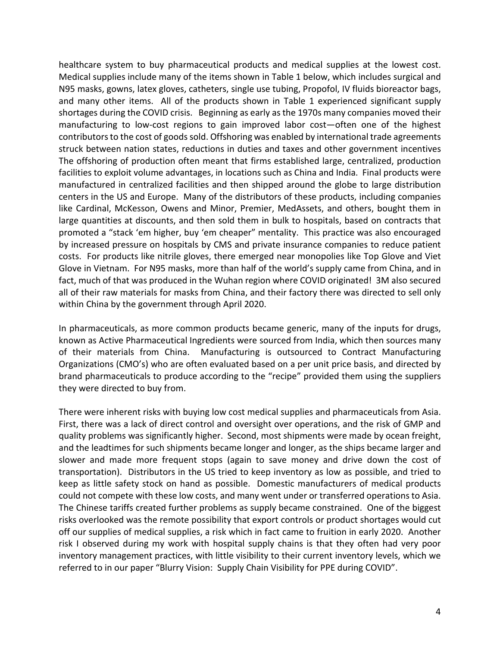healthcare system to buy pharmaceutical products and medical supplies at the lowest cost. Medical supplies include many of the items shown in Table 1 below, which includes surgical and N95 masks, gowns, latex gloves, catheters, single use tubing, Propofol, IV fluids bioreactor bags, and many other items. All of the products shown in Table 1 experienced significant supply shortages during the COVID crisis. Beginning as early as the 1970s many companies moved their manufacturing to low-cost regions to gain improved labor cost—often one of the highest contributors to the cost of goods sold. Offshoring was enabled by international trade agreements struck between nation states, reductions in duties and taxes and other government incentives The offshoring of production often meant that firms established large, centralized, production facilities to exploit volume advantages, in locations such as China and India. Final products were manufactured in centralized facilities and then shipped around the globe to large distribution centers in the US and Europe. Many of the distributors of these products, including companies like Cardinal, McKesson, Owens and Minor, Premier, MedAssets, and others, bought them in large quantities at discounts, and then sold them in bulk to hospitals, based on contracts that promoted a "stack 'em higher, buy 'em cheaper" mentality. This practice was also encouraged by increased pressure on hospitals by CMS and private insurance companies to reduce patient costs. For products like nitrile gloves, there emerged near monopolies like Top Glove and Viet Glove in Vietnam. For N95 masks, more than half of the world's supply came from China, and in fact, much of that was produced in the Wuhan region where COVID originated! 3M also secured all of their raw materials for masks from China, and their factory there was directed to sell only within China by the government through April 2020.

In pharmaceuticals, as more common products became generic, many of the inputs for drugs, known as Active Pharmaceutical Ingredients were sourced from India, which then sources many of their materials from China. Manufacturing is outsourced to Contract Manufacturing Organizations (CMO's) who are often evaluated based on a per unit price basis, and directed by brand pharmaceuticals to produce according to the "recipe" provided them using the suppliers they were directed to buy from.

There were inherent risks with buying low cost medical supplies and pharmaceuticals from Asia. First, there was a lack of direct control and oversight over operations, and the risk of GMP and quality problems was significantly higher. Second, most shipments were made by ocean freight, and the leadtimes for such shipments became longer and longer, as the ships became larger and slower and made more frequent stops (again to save money and drive down the cost of transportation). Distributors in the US tried to keep inventory as low as possible, and tried to keep as little safety stock on hand as possible. Domestic manufacturers of medical products could not compete with these low costs, and many went under or transferred operations to Asia. The Chinese tariffs created further problems as supply became constrained. One of the biggest risks overlooked was the remote possibility that export controls or product shortages would cut off our supplies of medical supplies, a risk which in fact came to fruition in early 2020. Another risk I observed during my work with hospital supply chains is that they often had very poor inventory management practices, with little visibility to their current inventory levels, which we referred to in our paper "Blurry Vision: Supply Chain Visibility for PPE during COVID".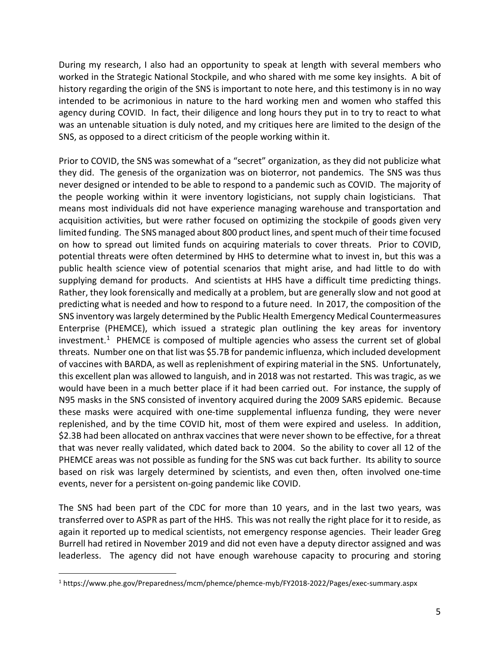During my research, I also had an opportunity to speak at length with several members who worked in the Strategic National Stockpile, and who shared with me some key insights. A bit of history regarding the origin of the SNS is important to note here, and this testimony is in no way intended to be acrimonious in nature to the hard working men and women who staffed this agency during COVID. In fact, their diligence and long hours they put in to try to react to what was an untenable situation is duly noted, and my critiques here are limited to the design of the SNS, as opposed to a direct criticism of the people working within it.

Prior to COVID, the SNS was somewhat of a "secret" organization, as they did not publicize what they did. The genesis of the organization was on bioterror, not pandemics. The SNS was thus never designed or intended to be able to respond to a pandemic such as COVID. The majority of the people working within it were inventory logisticians, not supply chain logisticians. That means most individuals did not have experience managing warehouse and transportation and acquisition activities, but were rather focused on optimizing the stockpile of goods given very limited funding. The SNS managed about 800 product lines, and spent much of their time focused on how to spread out limited funds on acquiring materials to cover threats. Prior to COVID, potential threats were often determined by HHS to determine what to invest in, but this was a public health science view of potential scenarios that might arise, and had little to do with supplying demand for products. And scientists at HHS have a difficult time predicting things. Rather, they look forensically and medically at a problem, but are generally slow and not good at predicting what is needed and how to respond to a future need. In 2017, the composition of the SNS inventory was largely determined by the Public Health Emergency Medical Countermeasures Enterprise (PHEMCE), which issued a strategic plan outlining the key areas for inventory investment.<sup>1</sup> PHEMCE is composed of multiple agencies who assess the current set of global threats. Number one on that list was \$5.7B for pandemic influenza, which included development of vaccines with BARDA, as well as replenishment of expiring material in the SNS. Unfortunately, this excellent plan was allowed to languish, and in 2018 was not restarted. This was tragic, as we would have been in a much better place if it had been carried out. For instance, the supply of N95 masks in the SNS consisted of inventory acquired during the 2009 SARS epidemic. Because these masks were acquired with one-time supplemental influenza funding, they were never replenished, and by the time COVID hit, most of them were expired and useless. In addition, \$2.3B had been allocated on anthrax vaccines that were never shown to be effective, for a threat that was never really validated, which dated back to 2004. So the ability to cover all 12 of the PHEMCE areas was not possible as funding for the SNS was cut back further. Its ability to source based on risk was largely determined by scientists, and even then, often involved one-time events, never for a persistent on-going pandemic like COVID.

The SNS had been part of the CDC for more than 10 years, and in the last two years, was transferred over to ASPR as part of the HHS. This was not really the right place for it to reside, as again it reported up to medical scientists, not emergency response agencies. Their leader Greg Burrell had retired in November 2019 and did not even have a deputy director assigned and was leaderless. The agency did not have enough warehouse capacity to procuring and storing

<span id="page-4-0"></span> <sup>1</sup> https://www.phe.gov/Preparedness/mcm/phemce/phemce-myb/FY2018-2022/Pages/exec-summary.aspx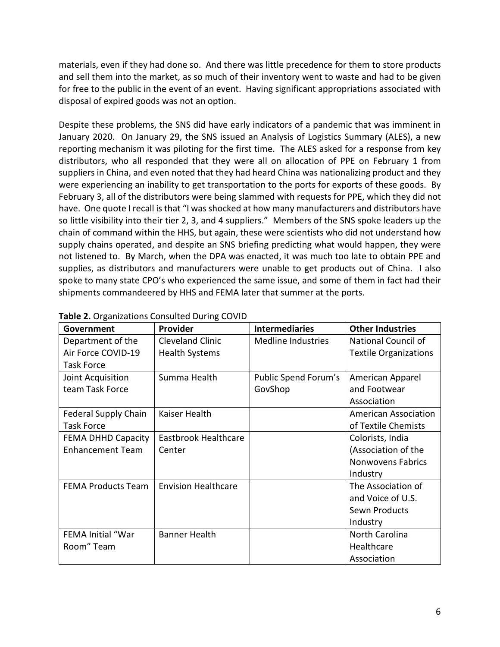materials, even if they had done so. And there was little precedence for them to store products and sell them into the market, as so much of their inventory went to waste and had to be given for free to the public in the event of an event. Having significant appropriations associated with disposal of expired goods was not an option.

Despite these problems, the SNS did have early indicators of a pandemic that was imminent in January 2020. On January 29, the SNS issued an Analysis of Logistics Summary (ALES), a new reporting mechanism it was piloting for the first time. The ALES asked for a response from key distributors, who all responded that they were all on allocation of PPE on February 1 from suppliers in China, and even noted that they had heard China was nationalizing product and they were experiencing an inability to get transportation to the ports for exports of these goods. By February 3, all of the distributors were being slammed with requests for PPE, which they did not have. One quote I recall is that "I was shocked at how many manufacturers and distributors have so little visibility into their tier 2, 3, and 4 suppliers." Members of the SNS spoke leaders up the chain of command within the HHS, but again, these were scientists who did not understand how supply chains operated, and despite an SNS briefing predicting what would happen, they were not listened to. By March, when the DPA was enacted, it was much too late to obtain PPE and supplies, as distributors and manufacturers were unable to get products out of China. I also spoke to many state CPO's who experienced the same issue, and some of them in fact had their shipments commandeered by HHS and FEMA later that summer at the ports.

| Government                | Provider                   | <b>Intermediaries</b> | <b>Other Industries</b>      |
|---------------------------|----------------------------|-----------------------|------------------------------|
| Department of the         | <b>Cleveland Clinic</b>    | Medline Industries    | National Council of          |
| Air Force COVID-19        | <b>Health Systems</b>      |                       | <b>Textile Organizations</b> |
| <b>Task Force</b>         |                            |                       |                              |
| Joint Acquisition         | Summa Health               | Public Spend Forum's  | American Apparel             |
| team Task Force           |                            | GovShop               | and Footwear                 |
|                           |                            |                       | Association                  |
| Federal Supply Chain      | Kaiser Health              |                       | <b>American Association</b>  |
| <b>Task Force</b>         |                            |                       | of Textile Chemists          |
| <b>FEMA DHHD Capacity</b> | Eastbrook Healthcare       |                       | Colorists, India             |
| <b>Enhancement Team</b>   | Center                     |                       | (Association of the          |
|                           |                            |                       | <b>Nonwovens Fabrics</b>     |
|                           |                            |                       | Industry                     |
| <b>FEMA Products Team</b> | <b>Envision Healthcare</b> |                       | The Association of           |
|                           |                            |                       | and Voice of U.S.            |
|                           |                            |                       | Sewn Products                |
|                           |                            |                       | Industry                     |
| <b>FEMA Initial "War</b>  | <b>Banner Health</b>       |                       | North Carolina               |
| Room" Team                |                            |                       | Healthcare                   |
|                           |                            |                       | Association                  |

| Table 2. Organizations Consulted During COVID |  |  |  |  |
|-----------------------------------------------|--|--|--|--|
|-----------------------------------------------|--|--|--|--|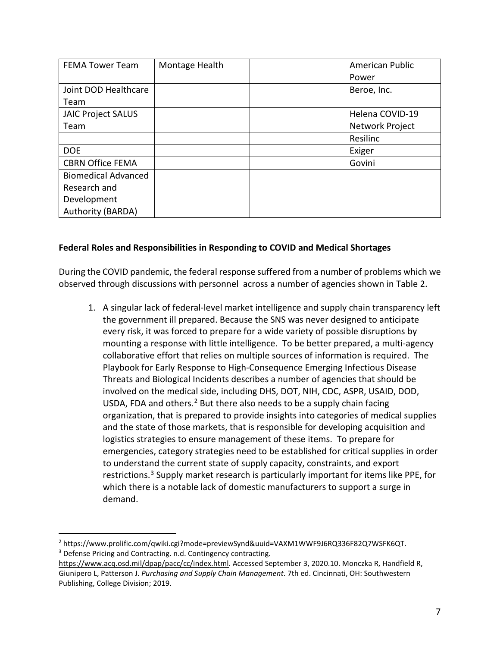| <b>FEMA Tower Team</b>     | Montage Health | American Public |
|----------------------------|----------------|-----------------|
|                            |                | Power           |
| Joint DOD Healthcare       |                | Beroe, Inc.     |
| Team                       |                |                 |
| <b>JAIC Project SALUS</b>  |                | Helena COVID-19 |
| Team                       |                | Network Project |
|                            |                | Resilinc        |
| <b>DOE</b>                 |                | Exiger          |
| <b>CBRN Office FEMA</b>    |                | Govini          |
| <b>Biomedical Advanced</b> |                |                 |
| Research and               |                |                 |
| Development                |                |                 |
| Authority (BARDA)          |                |                 |

# **Federal Roles and Responsibilities in Responding to COVID and Medical Shortages**

During the COVID pandemic, the federal response suffered from a number of problems which we observed through discussions with personnel across a number of agencies shown in Table 2.

1. A singular lack of federal-level market intelligence and supply chain transparency left the government ill prepared. Because the SNS was never designed to anticipate every risk, it was forced to prepare for a wide variety of possible disruptions by mounting a response with little intelligence. To be better prepared, a multi-agency collaborative effort that relies on multiple sources of information is required. The Playbook for Early Response to High-Consequence Emerging Infectious Disease Threats and Biological Incidents describes a number of agencies that should be involved on the medical side, including DHS, DOT, NIH, CDC, ASPR, USAID, DOD, USDA, FDA and others.<sup>[2](#page-6-0)</sup> But there also needs to be a supply chain facing organization, that is prepared to provide insights into categories of medical supplies and the state of those markets, that is responsible for developing acquisition and logistics strategies to ensure management of these items. To prepare for emergencies, category strategies need to be established for critical supplies in order to understand the current state of supply capacity, constraints, and export restrictions.<sup>[3](#page-6-1)</sup> Supply market research is particularly important for items like PPE, for which there is a notable lack of domestic manufacturers to support a surge in demand.

<span id="page-6-1"></span><span id="page-6-0"></span> <sup>2</sup> https://www.prolific.com/qwiki.cgi?mode=previewSynd&uuid=VAXM1WWF9J6RQ336F82Q7WSFK6QT. <sup>3</sup> Defense Pricing and Contracting. n.d. Contingency contracting.

https://www.acq.osd.mil/dpap/pacc/cc/index.html. Accessed September 3, 2020.10. Monczka R, Handfield R, Giunipero L, Patterson J. *Purchasing and Supply Chain Management*. 7th ed. Cincinnati, OH: Southwestern Publishing, College Division; 2019.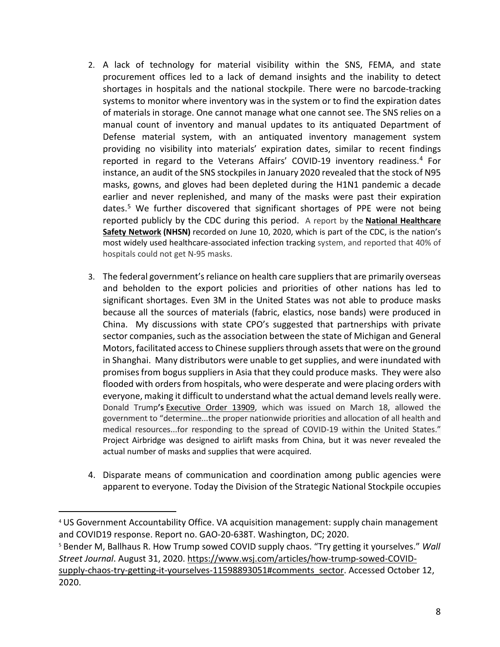- 2. A lack of technology for material visibility within the SNS, FEMA, and state procurement offices led to a lack of demand insights and the inability to detect shortages in hospitals and the national stockpile. There were no barcode-tracking systems to monitor where inventory was in the system or to find the expiration dates of materials in storage. One cannot manage what one cannot see. The SNS relies on a manual count of inventory and manual updates to its antiquated Department of Defense material system, with an antiquated inventory management system providing no visibility into materials' expiration dates, similar to recent findings reported in regard to the Veterans Affairs' COVID-19 inventory readiness. [4](#page-7-0) For instance, an audit of the SNS stockpiles in January 2020 revealed that the stock of N95 masks, gowns, and gloves had been depleted during the H1N1 pandemic a decade earlier and never replenished, and many of the masks were past their expiration dates. [5](#page-7-1) We further discovered that significant shortages of PPE were not being reported publicly by the CDC during this period. A report by the **[National Healthcare](https://www.cdc.gov/nhsn/index.html)  [Safety Network](https://www.cdc.gov/nhsn/index.html) (NHSN)** recorded on June 10, 2020, which is part of the CDC, is the nation's most widely used healthcare-associated infection tracking system, and reported that 40% of hospitals could not get N-95 masks.
- 3. The federal government's reliance on health care suppliers that are primarily overseas and beholden to the export policies and priorities of other nations has led to significant shortages. Even 3M in the United States was not able to produce masks because all the sources of materials (fabric, elastics, nose bands) were produced in China. My discussions with state CPO's suggested that partnerships with private sector companies, such as the association between the state of Michigan and General Motors, facilitated access to Chinese suppliers through assets that were on the ground in Shanghai. Many distributors were unable to get supplies, and were inundated with promises from bogus suppliers in Asia that they could produce masks. They were also flooded with orders from hospitals, who were desperate and were placing orders with everyone, making it difficult to understand what the actual demand levels really were. Donald Trump**'s** [Executive Order 13909,](https://www.federalregister.gov/documents/2020/03/23/2020-06161/prioritizing-and-allocating-health-and-medical-resources-to-respond-to-the-spread-of-covid-19) which was issued on March 18, allowed the government to "determine...the proper nationwide priorities and allocation of all health and medical resources...for responding to the spread of COVID-19 within the United States." Project Airbridge was designed to airlift masks from China, but it was never revealed the actual number of masks and supplies that were acquired.
- 4. Disparate means of communication and coordination among public agencies were apparent to everyone. Today the Division of the Strategic National Stockpile occupies

<span id="page-7-1"></span><sup>5</sup> Bender M, Ballhaus R. How Trump sowed COVID supply chaos. "Try getting it yourselves." *Wall Street Journal*. August 31, 2020. https://www.wsj.com/articles/how-trump-sowed-COVIDsupply-chaos-try-getting-it-yourselves-11598893051#comments\_sector. Accessed October 12, 2020.

<span id="page-7-0"></span> <sup>4</sup> US Government Accountability Office. VA acquisition management: supply chain management and COVID19 response. Report no. GAO-20-638T. Washington, DC; 2020.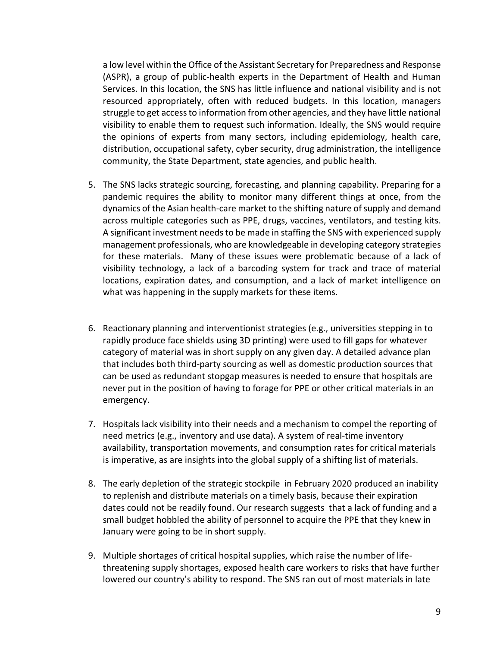a low level within the Office of the Assistant Secretary for Preparedness and Response (ASPR), a group of public-health experts in the Department of Health and Human Services. In this location, the SNS has little influence and national visibility and is not resourced appropriately, often with reduced budgets. In this location, managers struggle to get access to information from other agencies, and they have little national visibility to enable them to request such information. Ideally, the SNS would require the opinions of experts from many sectors, including epidemiology, health care, distribution, occupational safety, cyber security, drug administration, the intelligence community, the State Department, state agencies, and public health.

- 5. The SNS lacks strategic sourcing, forecasting, and planning capability. Preparing for a pandemic requires the ability to monitor many different things at once, from the dynamics of the Asian health-care market to the shifting nature of supply and demand across multiple categories such as PPE, drugs, vaccines, ventilators, and testing kits. A significant investment needs to be made in staffing the SNS with experienced supply management professionals, who are knowledgeable in developing category strategies for these materials. Many of these issues were problematic because of a lack of visibility technology, a lack of a barcoding system for track and trace of material locations, expiration dates, and consumption, and a lack of market intelligence on what was happening in the supply markets for these items.
- 6. Reactionary planning and interventionist strategies (e.g., universities stepping in to rapidly produce face shields using 3D printing) were used to fill gaps for whatever category of material was in short supply on any given day. A detailed advance plan that includes both third-party sourcing as well as domestic production sources that can be used as redundant stopgap measures is needed to ensure that hospitals are never put in the position of having to forage for PPE or other critical materials in an emergency.
- 7. Hospitals lack visibility into their needs and a mechanism to compel the reporting of need metrics (e.g., inventory and use data). A system of real-time inventory availability, transportation movements, and consumption rates for critical materials is imperative, as are insights into the global supply of a shifting list of materials.
- 8. The early depletion of the strategic stockpile in February 2020 produced an inability to replenish and distribute materials on a timely basis, because their expiration dates could not be readily found. Our research suggests that a lack of funding and a small budget hobbled the ability of personnel to acquire the PPE that they knew in January were going to be in short supply.
- 9. Multiple shortages of critical hospital supplies, which raise the number of lifethreatening supply shortages, exposed health care workers to risks that have further lowered our country's ability to respond. The SNS ran out of most materials in late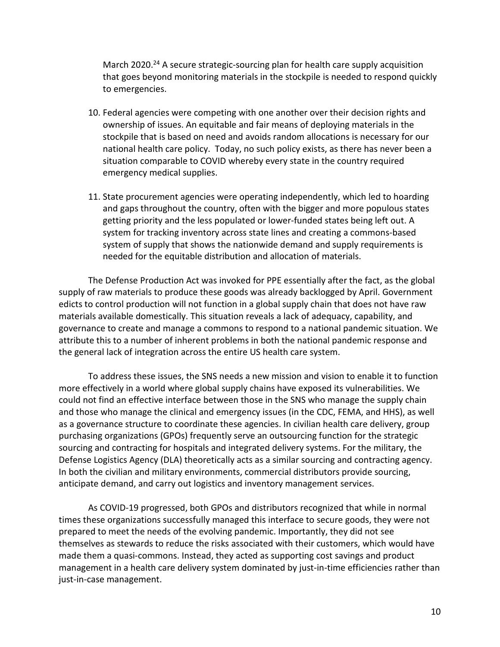March 2020.<sup>24</sup> A secure strategic-sourcing plan for health care supply acquisition that goes beyond monitoring materials in the stockpile is needed to respond quickly to emergencies.

- 10. Federal agencies were competing with one another over their decision rights and ownership of issues. An equitable and fair means of deploying materials in the stockpile that is based on need and avoids random allocations is necessary for our national health care policy. Today, no such policy exists, as there has never been a situation comparable to COVID whereby every state in the country required emergency medical supplies.
- 11. State procurement agencies were operating independently, which led to hoarding and gaps throughout the country, often with the bigger and more populous states getting priority and the less populated or lower-funded states being left out. A system for tracking inventory across state lines and creating a commons-based system of supply that shows the nationwide demand and supply requirements is needed for the equitable distribution and allocation of materials.

The Defense Production Act was invoked for PPE essentially after the fact, as the global supply of raw materials to produce these goods was already backlogged by April. Government edicts to control production will not function in a global supply chain that does not have raw materials available domestically. This situation reveals a lack of adequacy, capability, and governance to create and manage a commons to respond to a national pandemic situation. We attribute this to a number of inherent problems in both the national pandemic response and the general lack of integration across the entire US health care system.

To address these issues, the SNS needs a new mission and vision to enable it to function more effectively in a world where global supply chains have exposed its vulnerabilities. We could not find an effective interface between those in the SNS who manage the supply chain and those who manage the clinical and emergency issues (in the CDC, FEMA, and HHS), as well as a governance structure to coordinate these agencies. In civilian health care delivery, group purchasing organizations (GPOs) frequently serve an outsourcing function for the strategic sourcing and contracting for hospitals and integrated delivery systems. For the military, the Defense Logistics Agency (DLA) theoretically acts as a similar sourcing and contracting agency. In both the civilian and military environments, commercial distributors provide sourcing, anticipate demand, and carry out logistics and inventory management services.

As COVID-19 progressed, both GPOs and distributors recognized that while in normal times these organizations successfully managed this interface to secure goods, they were not prepared to meet the needs of the evolving pandemic. Importantly, they did not see themselves as stewards to reduce the risks associated with their customers, which would have made them a quasi-commons. Instead, they acted as supporting cost savings and product management in a health care delivery system dominated by just-in-time efficiencies rather than just-in-case management.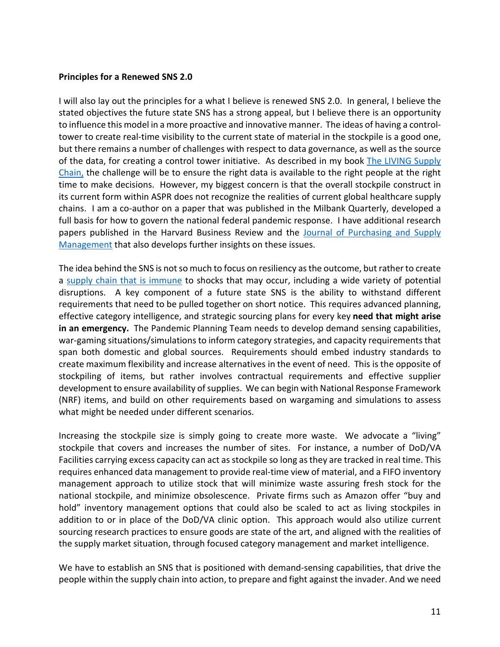#### **Principles for a Renewed SNS 2.0**

I will also lay out the principles for a what I believe is renewed SNS 2.0. In general, I believe the stated objectives the future state SNS has a strong appeal, but I believe there is an opportunity to influence this model in a more proactive and innovative manner. The ideas of having a controltower to create real-time visibility to the current state of material in the stockpile is a good one, but there remains a number of challenges with respect to data governance, as well as the source of the data, for creating a control tower initiative. As described in my book [The LIVING Supply](https://www.amazon.com/LIVING-Supply-Chain-Imperative-Operating/dp/1119306256)  [Chain,](https://www.amazon.com/LIVING-Supply-Chain-Imperative-Operating/dp/1119306256) the challenge will be to ensure the right data is available to the right people at the right time to make decisions. However, my biggest concern is that the overall stockpile construct in its current form within ASPR does not recognize the realities of current global healthcare supply chains. I am a co-author on a paper that was published in the Milbank Quarterly, developed a full basis for how to govern the national federal pandemic response. I have additional research papers published in the Harvard Business Review and the [Journal of Purchasing and Supply](https://www.sciencedirect.com/science/article/pii/S1478409221000194)  [Management](https://www.sciencedirect.com/science/article/pii/S1478409221000194) that also develops further insights on these issues.

The idea behind the SNS is not so much to focus on resiliency as the outcome, but rather to create a [supply chain that is immune](https://blogs.lse.ac.uk/businessreview/2020/05/15/supply-chains-need-to-develop-immunity-to-natural-disasters/) to shocks that may occur, including a wide variety of potential disruptions. A key component of a future state SNS is the ability to withstand different requirements that need to be pulled together on short notice. This requires advanced planning, effective category intelligence, and strategic sourcing plans for every key **need that might arise in an emergency.** The Pandemic Planning Team needs to develop demand sensing capabilities, war-gaming situations/simulations to inform category strategies, and capacity requirements that span both domestic and global sources. Requirements should embed industry standards to create maximum flexibility and increase alternatives in the event of need. This is the opposite of stockpiling of items, but rather involves contractual requirements and effective supplier development to ensure availability of supplies. We can begin with National Response Framework (NRF) items, and build on other requirements based on wargaming and simulations to assess what might be needed under different scenarios.

Increasing the stockpile size is simply going to create more waste. We advocate a "living" stockpile that covers and increases the number of sites. For instance, a number of DoD/VA Facilities carrying excess capacity can act as stockpile so long as they are tracked in real time. This requires enhanced data management to provide real-time view of material, and a FIFO inventory management approach to utilize stock that will minimize waste assuring fresh stock for the national stockpile, and minimize obsolescence. Private firms such as Amazon offer "buy and hold" inventory management options that could also be scaled to act as living stockpiles in addition to or in place of the DoD/VA clinic option. This approach would also utilize current sourcing research practices to ensure goods are state of the art, and aligned with the realities of the supply market situation, through focused category management and market intelligence.

We have to establish an SNS that is positioned with demand-sensing capabilities, that drive the people within the supply chain into action, to prepare and fight against the invader. And we need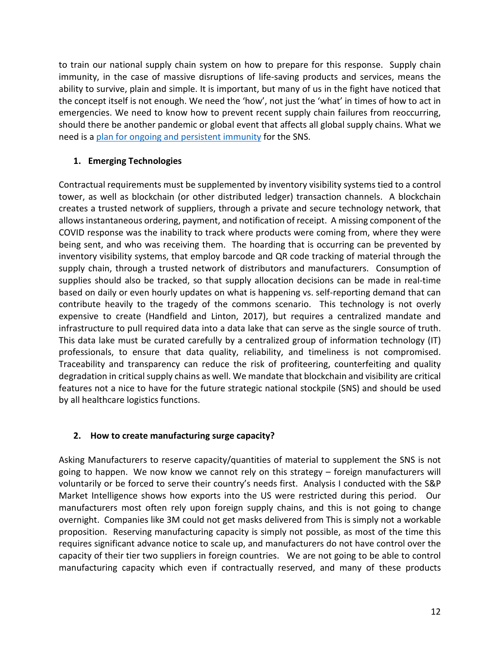to train our national supply chain system on how to prepare for this response. Supply chain immunity, in the case of massive disruptions of life-saving products and services, means the ability to survive, plain and simple. It is important, but many of us in the fight have noticed that the concept itself is not enough. We need the 'how', not just the 'what' in times of how to act in emergencies. We need to know how to prevent recent supply chain failures from reoccurring, should there be another pandemic or global event that affects all global supply chains. What we need is a [plan for ongoing and persistent immunity](https://scm.ncsu.edu/scm-articles/article/we-need-supply-chain-immunity-not-resiliency-a-position-paper) for the SNS.

# **1. Emerging Technologies**

Contractual requirements must be supplemented by inventory visibility systems tied to a control tower, as well as blockchain (or other distributed ledger) transaction channels. A blockchain creates a trusted network of suppliers, through a private and secure technology network, that allows instantaneous ordering, payment, and notification of receipt. A missing component of the COVID response was the inability to track where products were coming from, where they were being sent, and who was receiving them. The hoarding that is occurring can be prevented by inventory visibility systems, that employ barcode and QR code tracking of material through the supply chain, through a trusted network of distributors and manufacturers. Consumption of supplies should also be tracked, so that supply allocation decisions can be made in real-time based on daily or even hourly updates on what is happening vs. self-reporting demand that can contribute heavily to the tragedy of the commons scenario. This technology is not overly expensive to create (Handfield and Linton, 2017), but requires a centralized mandate and infrastructure to pull required data into a data lake that can serve as the single source of truth. This data lake must be curated carefully by a centralized group of information technology (IT) professionals, to ensure that data quality, reliability, and timeliness is not compromised. Traceability and transparency can reduce the risk of profiteering, counterfeiting and quality degradation in critical supply chains as well. We mandate that blockchain and visibility are critical features not a nice to have for the future strategic national stockpile (SNS) and should be used by all healthcare logistics functions.

# **2. How to create manufacturing surge capacity?**

Asking Manufacturers to reserve capacity/quantities of material to supplement the SNS is not going to happen. We now know we cannot rely on this strategy – foreign manufacturers will voluntarily or be forced to serve their country's needs first. Analysis I conducted with the S&P Market Intelligence shows how exports into the US were restricted during this period. Our manufacturers most often rely upon foreign supply chains, and this is not going to change overnight. Companies like 3M could not get masks delivered from This is simply not a workable proposition. Reserving manufacturing capacity is simply not possible, as most of the time this requires significant advance notice to scale up, and manufacturers do not have control over the capacity of their tier two suppliers in foreign countries. We are not going to be able to control manufacturing capacity which even if contractually reserved, and many of these products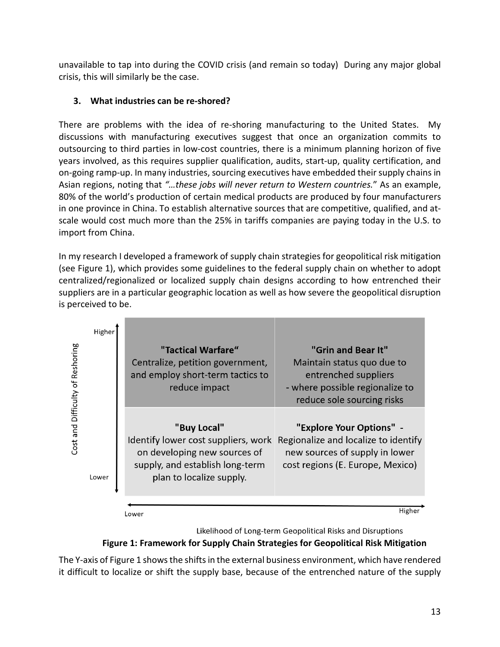unavailable to tap into during the COVID crisis (and remain so today) During any major global crisis, this will similarly be the case.

# **3. What industries can be re-shored?**

There are problems with the idea of re-shoring manufacturing to the United States. My discussions with manufacturing executives suggest that once an organization commits to outsourcing to third parties in low-cost countries, there is a minimum planning horizon of five years involved, as this requires supplier qualification, audits, start-up, quality certification, and on-going ramp-up. In many industries, sourcing executives have embedded their supply chains in Asian regions, noting that *"…these jobs will never return to Western countries.*" As an example, 80% of the world's production of certain medical products are produced by four manufacturers in one province in China. To establish alternative sources that are competitive, qualified, and atscale would cost much more than the 25% in tariffs companies are paying today in the U.S. to import from China.

In my research I developed a framework of supply chain strategies for geopolitical risk mitigation (see Figure 1), which provides some guidelines to the federal supply chain on whether to adopt centralized/regionalized or localized supply chain designs according to how entrenched their suppliers are in a particular geographic location as well as how severe the geopolitical disruption is perceived to be.

| Cost and Difficulty of Reshoring | Higher | "Tactical Warfare"<br>Centralize, petition government,<br>and employ short-term tactics to<br>reduce impact                                       | "Grin and Bear It"<br>Maintain status quo due to<br>entrenched suppliers<br>- where possible regionalize to<br>reduce sole sourcing risks |
|----------------------------------|--------|---------------------------------------------------------------------------------------------------------------------------------------------------|-------------------------------------------------------------------------------------------------------------------------------------------|
|                                  | Lower  | "Buy Local"<br>Identify lower cost suppliers, work<br>on developing new sources of<br>supply, and establish long-term<br>plan to localize supply. | "Explore Your Options" -<br>Regionalize and localize to identify<br>new sources of supply in lower<br>cost regions (E. Europe, Mexico)    |
|                                  |        | ower                                                                                                                                              | Higher                                                                                                                                    |

Likelihood of Long-term Geopolitical Risks and Disruptions

# **Figure 1: Framework for Supply Chain Strategies for Geopolitical Risk Mitigation**

The Y-axis of Figure 1 shows the shifts in the external business environment, which have rendered it difficult to localize or shift the supply base, because of the entrenched nature of the supply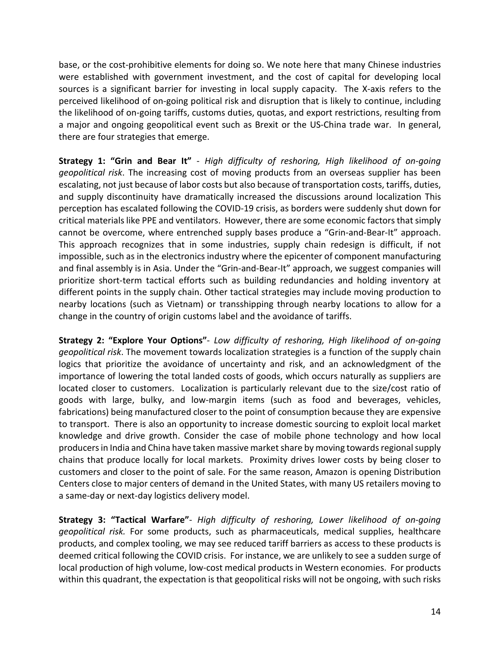base, or the cost-prohibitive elements for doing so. We note here that many Chinese industries were established with government investment, and the cost of capital for developing local sources is a significant barrier for investing in local supply capacity. The X-axis refers to the perceived likelihood of on-going political risk and disruption that is likely to continue, including the likelihood of on-going tariffs, customs duties, quotas, and export restrictions, resulting from a major and ongoing geopolitical event such as Brexit or the US-China trade war. In general, there are four strategies that emerge.

**Strategy 1: "Grin and Bear It"** - *High difficulty of reshoring, High likelihood of on-going geopolitical risk*. The increasing cost of moving products from an overseas supplier has been escalating, not just because of labor costs but also because of transportation costs, tariffs, duties, and supply discontinuity have dramatically increased the discussions around localization This perception has escalated following the COVID-19 crisis, as borders were suddenly shut down for critical materials like PPE and ventilators. However, there are some economic factors that simply cannot be overcome, where entrenched supply bases produce a "Grin-and-Bear-It" approach. This approach recognizes that in some industries, supply chain redesign is difficult, if not impossible, such as in the electronics industry where the epicenter of component manufacturing and final assembly is in Asia. Under the "Grin-and-Bear-It" approach, we suggest companies will prioritize short-term tactical efforts such as building redundancies and holding inventory at different points in the supply chain. Other tactical strategies may include moving production to nearby locations (such as Vietnam) or transshipping through nearby locations to allow for a change in the country of origin customs label and the avoidance of tariffs.

**Strategy 2: "Explore Your Options"**- *Low difficulty of reshoring, High likelihood of on-going geopolitical risk*. The movement towards localization strategies is a function of the supply chain logics that prioritize the avoidance of uncertainty and risk, and an acknowledgment of the importance of lowering the total landed costs of goods, which occurs naturally as suppliers are located closer to customers. Localization is particularly relevant due to the size/cost ratio of goods with large, bulky, and low-margin items (such as food and beverages, vehicles, fabrications) being manufactured closer to the point of consumption because they are expensive to transport. There is also an opportunity to increase domestic sourcing to exploit local market knowledge and drive growth. Consider the case of mobile phone technology and how local producers in India and China have taken massive market share by moving towards regional supply chains that produce locally for local markets. Proximity drives lower costs by being closer to customers and closer to the point of sale. For the same reason, Amazon is opening Distribution Centers close to major centers of demand in the United States, with many US retailers moving to a same-day or next-day logistics delivery model.

**Strategy 3: "Tactical Warfare"**- *High difficulty of reshoring, Lower likelihood of on-going geopolitical risk.* For some products, such as pharmaceuticals, medical supplies, healthcare products, and complex tooling, we may see reduced tariff barriers as access to these products is deemed critical following the COVID crisis. For instance, we are unlikely to see a sudden surge of local production of high volume, low-cost medical products in Western economies. For products within this quadrant, the expectation is that geopolitical risks will not be ongoing, with such risks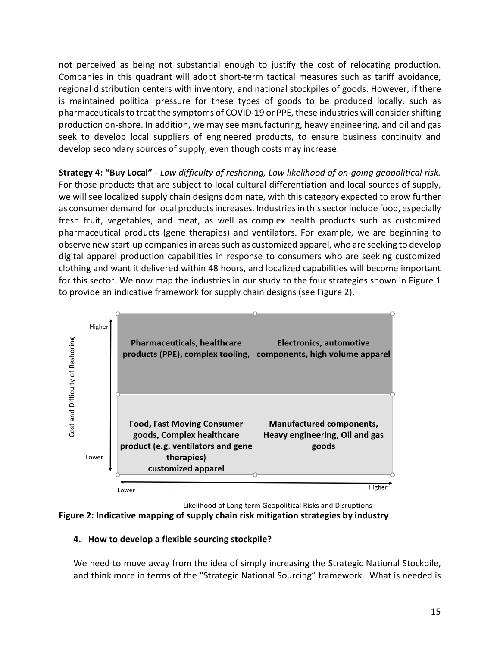not perceived as being not substantial enough to justify the cost of relocating production. Companies in this quadrant will adopt short-term tactical measures such as tariff avoidance, regional distribution centers with inventory, and national stockpiles of goods. However, if there is maintained political pressure for these types of goods to be produced locally, such as pharmaceuticals to treat the symptoms of COVID-19 or PPE, these industries will consider shifting production on-shore. In addition, we may see manufacturing, heavy engineering, and oil and gas seek to develop local suppliers of engineered products, to ensure business continuity and develop secondary sources of supply, even though costs may increase.

**Strategy 4: "Buy Local"** - *Low difficulty of reshoring, Low likelihood of on-going geopolitical risk.* For those products that are subject to local cultural differentiation and local sources of supply, we will see localized supply chain designs dominate, with this category expected to grow further as consumer demand for local products increases. Industries in this sector include food, especially fresh fruit, vegetables, and meat, as well as complex health products such as customized pharmaceutical products (gene therapies) and ventilators. For example, we are beginning to observe new start-up companies in areas such as customized apparel, who are seeking to develop digital apparel production capabilities in response to consumers who are seeking customized clothing and want it delivered within 48 hours, and localized capabilities will become important for this sector. We now map the industries in our study to the four strategies shown in Figure 1 to provide an indicative framework for supply chain designs (see Figure 2).



Likelihood of Long-term Geopolitical Risks and Disruptions



# **4. How to develop a flexible sourcing stockpile?**

We need to move away from the idea of simply increasing the Strategic National Stockpile, and think more in terms of the "Strategic National Sourcing" framework. What is needed is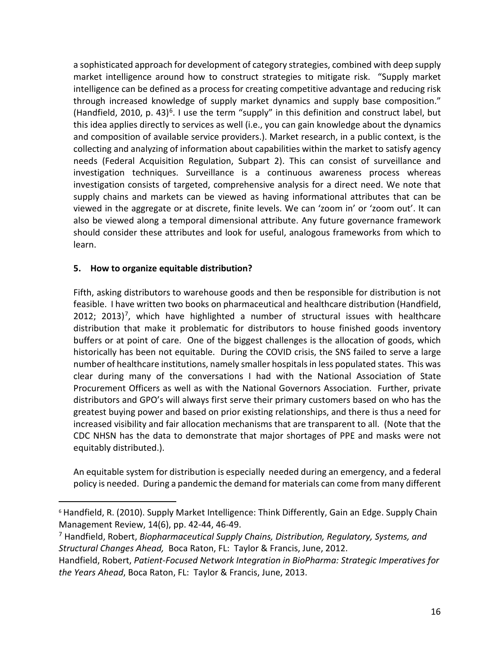a sophisticated approach for development of category strategies, combined with deep supply market intelligence around how to construct strategies to mitigate risk. "Supply market intelligence can be defined as a process for creating competitive advantage and reducing risk through increased knowledge of supply market dynamics and supply base composition." (Handfield, 2010, p. 43)<sup>6</sup>. I use the term "supply" in this definition and construct label, but this idea applies directly to services as well (i.e., you can gain knowledge about the dynamics and composition of available service providers.). Market research, in a public context, is the collecting and analyzing of information about capabilities within the market to satisfy agency needs (Federal Acquisition Regulation, Subpart 2). This can consist of surveillance and investigation techniques. Surveillance is a continuous awareness process whereas investigation consists of targeted, comprehensive analysis for a direct need. We note that supply chains and markets can be viewed as having informational attributes that can be viewed in the aggregate or at discrete, finite levels. We can 'zoom in' or 'zoom out'. It can also be viewed along a temporal dimensional attribute. Any future governance framework should consider these attributes and look for useful, analogous frameworks from which to learn.

### **5. How to organize equitable distribution?**

Fifth, asking distributors to warehouse goods and then be responsible for distribution is not feasible. I have written two books on pharmaceutical and healthcare distribution (Handfield, 2012; 2013)<sup>7</sup>, which have highlighted a number of structural issues with healthcare distribution that make it problematic for distributors to house finished goods inventory buffers or at point of care. One of the biggest challenges is the allocation of goods, which historically has been not equitable. During the COVID crisis, the SNS failed to serve a large number of healthcare institutions, namely smaller hospitals in less populated states. This was clear during many of the conversations I had with the National Association of State Procurement Officers as well as with the National Governors Association. Further, private distributors and GPO's will always first serve their primary customers based on who has the greatest buying power and based on prior existing relationships, and there is thus a need for increased visibility and fair allocation mechanisms that are transparent to all. (Note that the CDC NHSN has the data to demonstrate that major shortages of PPE and masks were not equitably distributed.).

An equitable system for distribution is especially needed during an emergency, and a federal policy is needed. During a pandemic the demand for materials can come from many different

<span id="page-15-0"></span><sup>&</sup>lt;sup>6</sup> Handfield, R. (2010). Supply Market Intelligence: Think Differently, Gain an Edge. Supply Chain Management Review, 14(6), pp. 42-44, 46-49.

<span id="page-15-1"></span><sup>7</sup> Handfield, Robert, *Biopharmaceutical Supply Chains, Distribution, Regulatory, Systems, and Structural Changes Ahead,* Boca Raton, FL: Taylor & Francis, June, 2012.

Handfield, Robert, *Patient-Focused Network Integration in BioPharma: Strategic Imperatives for the Years Ahead*, Boca Raton, FL: Taylor & Francis, June, 2013.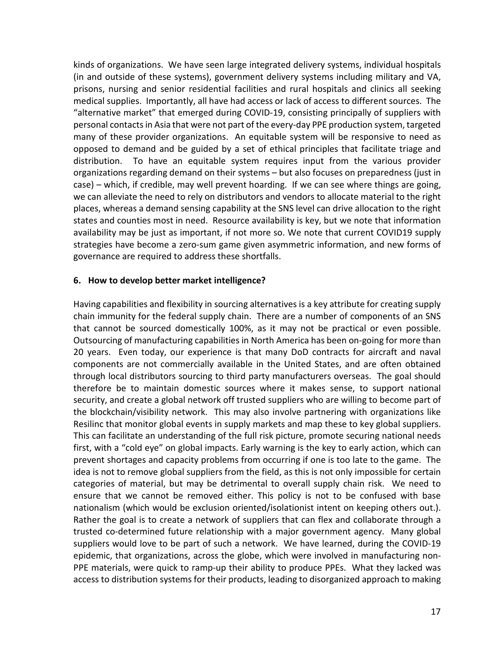kinds of organizations. We have seen large integrated delivery systems, individual hospitals (in and outside of these systems), government delivery systems including military and VA, prisons, nursing and senior residential facilities and rural hospitals and clinics all seeking medical supplies. Importantly, all have had access or lack of access to different sources. The "alternative market" that emerged during COVID-19, consisting principally of suppliers with personal contacts in Asia that were not part of the every-day PPE production system, targeted many of these provider organizations. An equitable system will be responsive to need as opposed to demand and be guided by a set of ethical principles that facilitate triage and distribution. To have an equitable system requires input from the various provider organizations regarding demand on their systems – but also focuses on preparedness (just in case) – which, if credible, may well prevent hoarding. If we can see where things are going, we can alleviate the need to rely on distributors and vendors to allocate material to the right places, whereas a demand sensing capability at the SNS level can drive allocation to the right states and counties most in need. Resource availability is key, but we note that information availability may be just as important, if not more so. We note that current COVID19 supply strategies have become a zero-sum game given asymmetric information, and new forms of governance are required to address these shortfalls.

#### **6. How to develop better market intelligence?**

Having capabilities and flexibility in sourcing alternatives is a key attribute for creating supply chain immunity for the federal supply chain. There are a number of components of an SNS that cannot be sourced domestically 100%, as it may not be practical or even possible. Outsourcing of manufacturing capabilities in North America has been on-going for more than 20 years. Even today, our experience is that many DoD contracts for aircraft and naval components are not commercially available in the United States, and are often obtained through local distributors sourcing to third party manufacturers overseas. The goal should therefore be to maintain domestic sources where it makes sense, to support national security, and create a global network off trusted suppliers who are willing to become part of the blockchain/visibility network. This may also involve partnering with organizations like Resilinc that monitor global events in supply markets and map these to key global suppliers. This can facilitate an understanding of the full risk picture, promote securing national needs first, with a "cold eye" on global impacts. Early warning is the key to early action, which can prevent shortages and capacity problems from occurring if one is too late to the game. The idea is not to remove global suppliers from the field, as this is not only impossible for certain categories of material, but may be detrimental to overall supply chain risk. We need to ensure that we cannot be removed either. This policy is not to be confused with base nationalism (which would be exclusion oriented/isolationist intent on keeping others out.). Rather the goal is to create a network of suppliers that can flex and collaborate through a trusted co-determined future relationship with a major government agency. Many global suppliers would love to be part of such a network. We have learned, during the COVID-19 epidemic, that organizations, across the globe, which were involved in manufacturing non-PPE materials, were quick to ramp-up their ability to produce PPEs. What they lacked was access to distribution systems for their products, leading to disorganized approach to making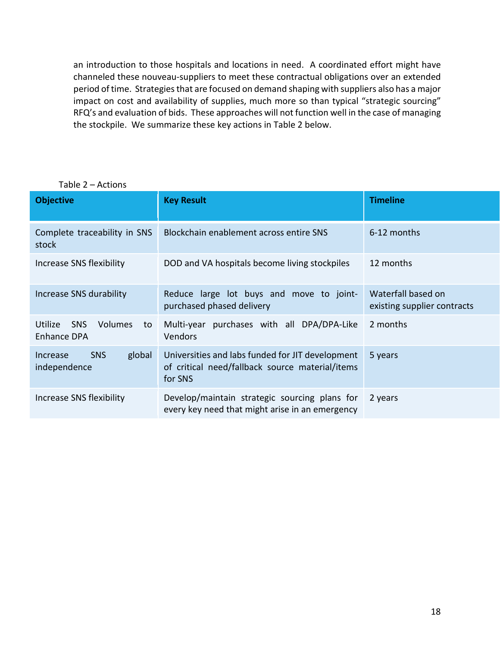an introduction to those hospitals and locations in need. A coordinated effort might have channeled these nouveau-suppliers to meet these contractual obligations over an extended period of time. Strategies that are focused on demand shaping with suppliers also has a major impact on cost and availability of supplies, much more so than typical "strategic sourcing" RFQ's and evaluation of bids. These approaches will not function well in the case of managing the stockpile. We summarize these key actions in Table 2 below.

| <b>Objective</b>                                             | <b>Key Result</b>                                                                                              | <b>Timeline</b>                                   |
|--------------------------------------------------------------|----------------------------------------------------------------------------------------------------------------|---------------------------------------------------|
| Complete traceability in SNS<br>stock                        | Blockchain enablement across entire SNS                                                                        | 6-12 months                                       |
| Increase SNS flexibility                                     | DOD and VA hospitals become living stockpiles                                                                  | 12 months                                         |
| Increase SNS durability                                      | Reduce large lot buys and move to joint-<br>purchased phased delivery                                          | Waterfall based on<br>existing supplier contracts |
| <b>SNS</b><br>Utilize<br>Volumes<br>to<br><b>Enhance DPA</b> | Multi-year purchases with all DPA/DPA-Like<br>Vendors                                                          | 2 months                                          |
| <b>SNS</b><br>global<br>Increase<br>independence             | Universities and labs funded for JIT development<br>of critical need/fallback source material/items<br>for SNS | 5 years                                           |
| Increase SNS flexibility                                     | Develop/maintain strategic sourcing plans for<br>every key need that might arise in an emergency               | 2 years                                           |

Table 2 – Actions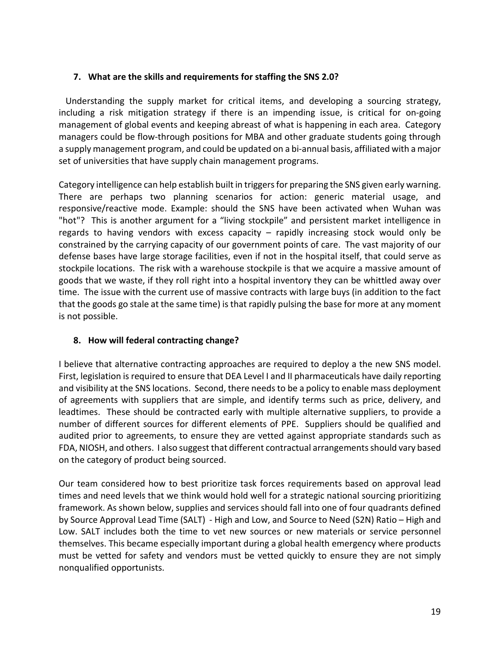# **7. What are the skills and requirements for staffing the SNS 2.0?**

 Understanding the supply market for critical items, and developing a sourcing strategy, including a risk mitigation strategy if there is an impending issue, is critical for on-going management of global events and keeping abreast of what is happening in each area. Category managers could be flow-through positions for MBA and other graduate students going through a supply management program, and could be updated on a bi-annual basis, affiliated with a major set of universities that have supply chain management programs.

Category intelligence can help establish built in triggers for preparing the SNS given early warning. There are perhaps two planning scenarios for action: generic material usage, and responsive/reactive mode. Example: should the SNS have been activated when Wuhan was "hot"? This is another argument for a "living stockpile" and persistent market intelligence in regards to having vendors with excess capacity – rapidly increasing stock would only be constrained by the carrying capacity of our government points of care. The vast majority of our defense bases have large storage facilities, even if not in the hospital itself, that could serve as stockpile locations. The risk with a warehouse stockpile is that we acquire a massive amount of goods that we waste, if they roll right into a hospital inventory they can be whittled away over time. The issue with the current use of massive contracts with large buys (in addition to the fact that the goods go stale at the same time) is that rapidly pulsing the base for more at any moment is not possible.

# **8. How will federal contracting change?**

I believe that alternative contracting approaches are required to deploy a the new SNS model. First, legislation is required to ensure that DEA Level I and II pharmaceuticals have daily reporting and visibility at the SNS locations. Second, there needs to be a policy to enable mass deployment of agreements with suppliers that are simple, and identify terms such as price, delivery, and leadtimes. These should be contracted early with multiple alternative suppliers, to provide a number of different sources for different elements of PPE. Suppliers should be qualified and audited prior to agreements, to ensure they are vetted against appropriate standards such as FDA, NIOSH, and others. I also suggest that different contractual arrangements should vary based on the category of product being sourced.

Our team considered how to best prioritize task forces requirements based on approval lead times and need levels that we think would hold well for a strategic national sourcing prioritizing framework. As shown below, supplies and services should fall into one of four quadrants defined by Source Approval Lead Time (SALT) - High and Low, and Source to Need (S2N) Ratio – High and Low. SALT includes both the time to vet new sources or new materials or service personnel themselves. This became especially important during a global health emergency where products must be vetted for safety and vendors must be vetted quickly to ensure they are not simply nonqualified opportunists.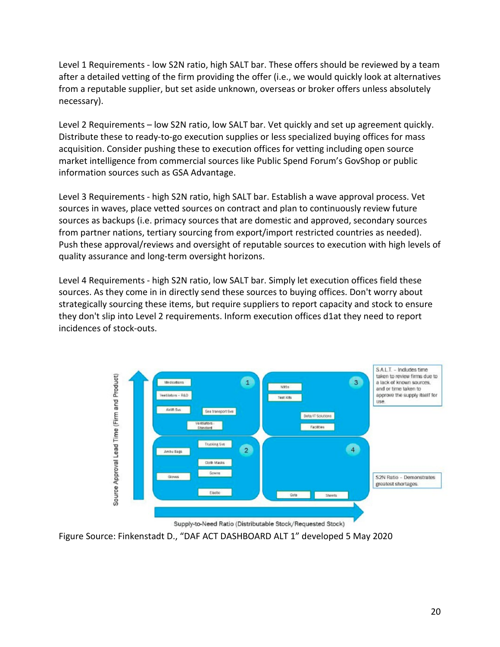Level 1 Requirements - low S2N ratio, high SALT bar. These offers should be reviewed by a team after a detailed vetting of the firm providing the offer (i.e., we would quickly look at alternatives from a reputable supplier, but set aside unknown, overseas or broker offers unless absolutely necessary).

Level 2 Requirements – low S2N ratio, low SALT bar. Vet quickly and set up agreement quickly. Distribute these to ready-to-go execution supplies or less specialized buying offices for mass acquisition. Consider pushing these to execution offices for vetting including open source market intelligence from commercial sources like Public Spend Forum's GovShop or public information sources such as GSA Advantage.

Level 3 Requirements - high S2N ratio, high SALT bar. Establish a wave approval process. Vet sources in waves, place vetted sources on contract and plan to continuously review future sources as backups (i.e. primacy sources that are domestic and approved, secondary sources from partner nations, tertiary sourcing from export/import restricted countries as needed). Push these approval/reviews and oversight of reputable sources to execution with high levels of quality assurance and long-term oversight horizons.

Level 4 Requirements - high S2N ratio, low SALT bar. Simply let execution offices field these sources. As they come in in directly send these sources to buying offices. Don't worry about strategically sourcing these items, but require suppliers to report capacity and stock to ensure they don't slip into Level 2 requirements. Inform execution offices d1at they need to report incidences of stock-outs.



Figure Source: Finkenstadt D., "DAF ACT DASHBOARD ALT 1" developed 5 May 2020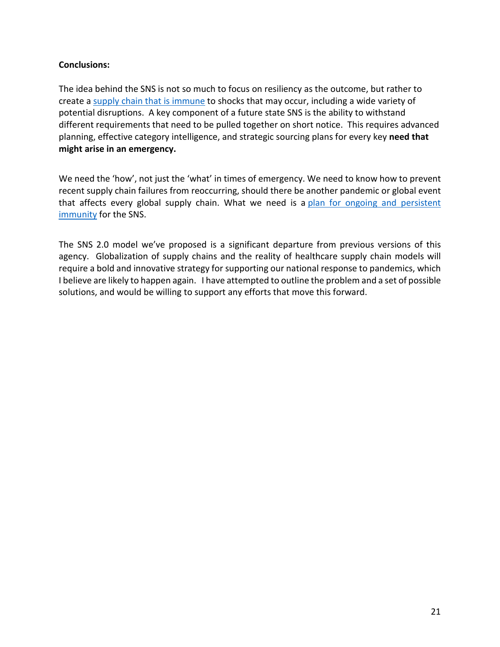### **Conclusions:**

The idea behind the SNS is not so much to focus on resiliency as the outcome, but rather to create a [supply chain that is immune](https://blogs.lse.ac.uk/businessreview/2020/05/15/supply-chains-need-to-develop-immunity-to-natural-disasters/) to shocks that may occur, including a wide variety of potential disruptions. A key component of a future state SNS is the ability to withstand different requirements that need to be pulled together on short notice. This requires advanced planning, effective category intelligence, and strategic sourcing plans for every key **need that might arise in an emergency.**

We need the 'how', not just the 'what' in times of emergency. We need to know how to prevent recent supply chain failures from reoccurring, should there be another pandemic or global event that affects every global supply chain. What we need is a [plan for ongoing and persistent](https://scm.ncsu.edu/scm-articles/article/we-need-supply-chain-immunity-not-resiliency-a-position-paper)  [immunity](https://scm.ncsu.edu/scm-articles/article/we-need-supply-chain-immunity-not-resiliency-a-position-paper) for the SNS.

The SNS 2.0 model we've proposed is a significant departure from previous versions of this agency. Globalization of supply chains and the reality of healthcare supply chain models will require a bold and innovative strategy for supporting our national response to pandemics, which I believe are likely to happen again. I have attempted to outline the problem and a set of possible solutions, and would be willing to support any efforts that move this forward.